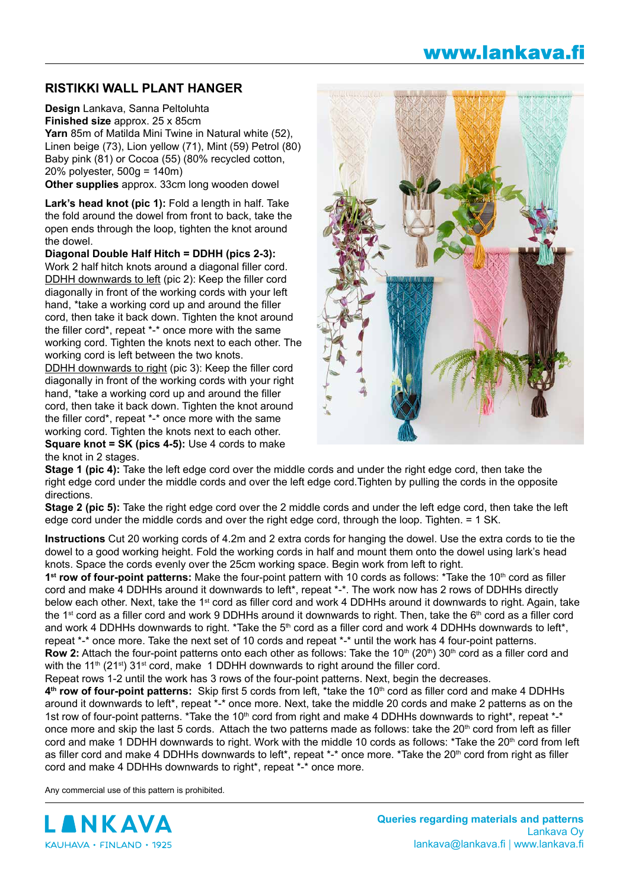## **RISTIKKI WALL PLANT HANGER**

**Design** Lankava, Sanna Peltoluhta **Finished size** approx. 25 x 85cm **Yarn** 85m of Matilda Mini Twine in Natural white (52), Linen beige (73), Lion yellow (71), Mint (59) Petrol (80) Baby pink (81) or Cocoa (55) (80% recycled cotton, 20% polyester, 500g = 140m)

**Other supplies** approx. 33cm long wooden dowel

**Lark's head knot (pic 1):** Fold a length in half. Take the fold around the dowel from front to back, take the open ends through the loop, tighten the knot around the dowel.

**Diagonal Double Half Hitch = DDHH (pics 2-3):**

Work 2 half hitch knots around a diagonal filler cord. DDHH downwards to left (pic 2): Keep the filler cord diagonally in front of the working cords with your left hand, \*take a working cord up and around the filler cord, then take it back down. Tighten the knot around the filler cord\*, repeat \*-\* once more with the same working cord. Tighten the knots next to each other. The working cord is left between the two knots.

DDHH downwards to right (pic 3): Keep the filler cord diagonally in front of the working cords with your right hand, \*take a working cord up and around the filler cord, then take it back down. Tighten the knot around the filler cord\*, repeat \*-\* once more with the same working cord. Tighten the knots next to each other. **Square knot = SK (pics 4-5):** Use 4 cords to make the knot in 2 stages.



**Stage 1 (pic 4):** Take the left edge cord over the middle cords and under the right edge cord, then take the right edge cord under the middle cords and over the left edge cord.Tighten by pulling the cords in the opposite directions.

**Stage 2 (pic 5):** Take the right edge cord over the 2 middle cords and under the left edge cord, then take the left edge cord under the middle cords and over the right edge cord, through the loop. Tighten. = 1 SK.

**Instructions** Cut 20 working cords of 4.2m and 2 extra cords for hanging the dowel. Use the extra cords to tie the dowel to a good working height. Fold the working cords in half and mount them onto the dowel using lark's head knots. Space the cords evenly over the 25cm working space. Begin work from left to right.

**1st row of four-point patterns:** Make the four-point pattern with 10 cords as follows: \*Take the 10<sup>th</sup> cord as filler cord and make 4 DDHHs around it downwards to left\*, repeat \*-\*. The work now has 2 rows of DDHHs directly below each other. Next, take the 1<sup>st</sup> cord as filler cord and work 4 DDHHs around it downwards to right. Again, take the 1<sup>st</sup> cord as a filler cord and work 9 DDHHs around it downwards to right. Then, take the 6<sup>th</sup> cord as a filler cord and work 4 DDHHs downwards to right. \*Take the 5<sup>th</sup> cord as a filler cord and work 4 DDHHs downwards to left\*, repeat \*-\* once more. Take the next set of 10 cords and repeat \*-\* until the work has 4 four-point patterns. **Row 2:** Attach the four-point patterns onto each other as follows: Take the 10<sup>th</sup> (20<sup>th</sup>) 30<sup>th</sup> cord as a filler cord and with the 11<sup>th</sup> (21<sup>st</sup>) 31<sup>st</sup> cord, make 1 DDHH downwards to right around the filler cord.

Repeat rows 1-2 until the work has 3 rows of the four-point patterns. Next, begin the decreases.

4<sup>th</sup> row of four-point patterns: Skip first 5 cords from left, \*take the 10<sup>th</sup> cord as filler cord and make 4 DDHHs around it downwards to left\*, repeat \*-\* once more. Next, take the middle 20 cords and make 2 patterns as on the 1st row of four-point patterns. \*Take the 10<sup>th</sup> cord from right and make 4 DDHHs downwards to right\*, repeat \*-\* once more and skip the last 5 cords. Attach the two patterns made as follows: take the  $20<sup>th</sup>$  cord from left as filler cord and make 1 DDHH downwards to right. Work with the middle 10 cords as follows: \*Take the 20<sup>th</sup> cord from left as filler cord and make 4 DDHHs downwards to left\*, repeat \*-\* once more. \*Take the 20<sup>th</sup> cord from right as filler cord and make 4 DDHHs downwards to right\*, repeat \*-\* once more.

Any commercial use of this pattern is prohibited.